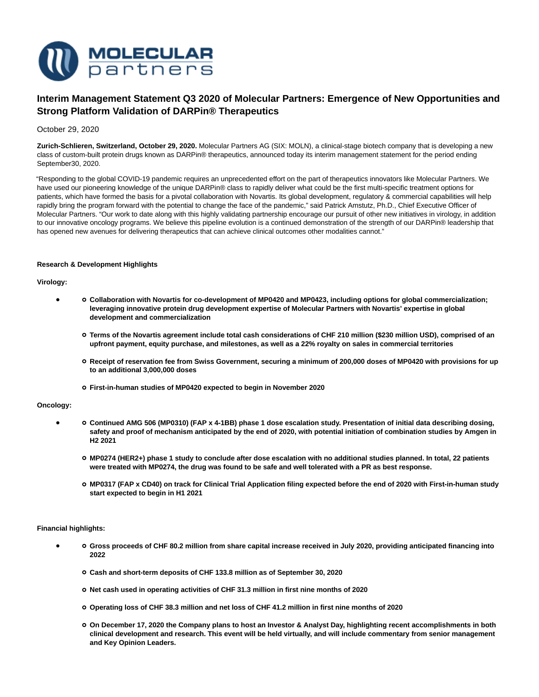

# **Interim Management Statement Q3 2020 of Molecular Partners: Emergence of New Opportunities and Strong Platform Validation of DARPin® Therapeutics**

# October 29, 2020

**Zurich-Schlieren, Switzerland, October 29, 2020.** Molecular Partners AG (SIX: MOLN), a clinical-stage biotech company that is developing a new class of custom-built protein drugs known as DARPin® therapeutics, announced today its interim management statement for the period ending September30, 2020.

"Responding to the global COVID-19 pandemic requires an unprecedented effort on the part of therapeutics innovators like Molecular Partners. We have used our pioneering knowledge of the unique DARPin® class to rapidly deliver what could be the first multi-specific treatment options for patients, which have formed the basis for a pivotal collaboration with Novartis. Its global development, regulatory & commercial capabilities will help rapidly bring the program forward with the potential to change the face of the pandemic," said Patrick Amstutz, Ph.D., Chief Executive Officer of Molecular Partners. "Our work to date along with this highly validating partnership encourage our pursuit of other new initiatives in virology, in addition to our innovative oncology programs. We believe this pipeline evolution is a continued demonstration of the strength of our DARPin® leadership that has opened new avenues for delivering therapeutics that can achieve clinical outcomes other modalities cannot."

# **Research & Development Highlights**

# **Virology:**

- **Collaboration with Novartis for co-development of MP0420 and MP0423, including options for global commercialization; leveraging innovative protein drug development expertise of Molecular Partners with Novartis' expertise in global development and commercialization**
	- **Terms of the Novartis agreement include total cash considerations of CHF 210 million (\$230 million USD), comprised of an upfront payment, equity purchase, and milestones, as well as a 22% royalty on sales in commercial territories**
	- **Receipt of reservation fee from Swiss Government, securing a minimum of 200,000 doses of MP0420 with provisions for up to an additional 3,000,000 doses**
	- **First-in-human studies of MP0420 expected to begin in November 2020**

## **Oncology:**

- **Continued AMG 506 (MP0310) (FAP x 4-1BB) phase 1 dose escalation study. Presentation of initial data describing dosing, safety and proof of mechanism anticipated by the end of 2020, with potential initiation of combination studies by Amgen in H2 2021**
	- **MP0274 (HER2+) phase 1 study to conclude after dose escalation with no additional studies planned. In total, 22 patients were treated with MP0274, the drug was found to be safe and well tolerated with a PR as best response.**
	- **MP0317 (FAP x CD40) on track for Clinical Trial Application filing expected before the end of 2020 with First-in-human study start expected to begin in H1 2021**

# **Financial highlights:**

- **Gross proceeds of CHF 80.2 million from share capital increase received in July 2020, providing anticipated financing into 2022**
	- **Cash and short-term deposits of CHF 133.8 million as of September 30, 2020**
	- **Net cash used in operating activities of CHF 31.3 million in first nine months of 2020**
	- **Operating loss of CHF 38.3 million and net loss of CHF 41.2 million in first nine months of 2020**
	- **On December 17, 2020 the Company plans to host an Investor & Analyst Day, highlighting recent accomplishments in both clinical development and research. This event will be held virtually, and will include commentary from senior management and Key Opinion Leaders.**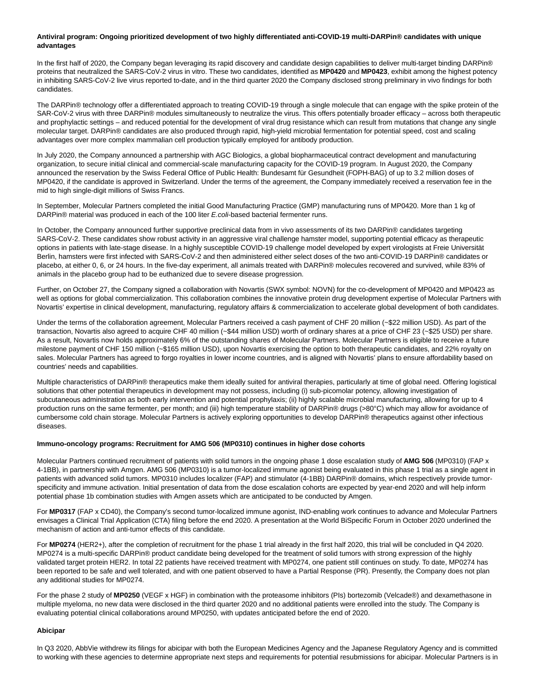# **Antiviral program: Ongoing prioritized development of two highly differentiated anti-COVID-19 multi-DARPin® candidates with unique advantages**

In the first half of 2020, the Company began leveraging its rapid discovery and candidate design capabilities to deliver multi-target binding DARPin® proteins that neutralized the SARS-CoV-2 virus in vitro. These two candidates, identified as **MP0420** and **MP0423**, exhibit among the highest potency in inhibiting SARS-CoV-2 live virus reported to-date, and in the third quarter 2020 the Company disclosed strong preliminary in vivo findings for both candidates.

The DARPin® technology offer a differentiated approach to treating COVID-19 through a single molecule that can engage with the spike protein of the SAR-CoV-2 virus with three DARPin® modules simultaneously to neutralize the virus. This offers potentially broader efficacy – across both therapeutic and prophylactic settings – and reduced potential for the development of viral drug resistance which can result from mutations that change any single molecular target. DARPin® candidates are also produced through rapid, high-yield microbial fermentation for potential speed, cost and scaling advantages over more complex mammalian cell production typically employed for antibody production.

In July 2020, the Company announced a partnership with AGC Biologics, a global biopharmaceutical contract development and manufacturing organization, to secure initial clinical and commercial-scale manufacturing capacity for the COVID-19 program. In August 2020, the Company announced the reservation by the Swiss Federal Office of Public Health: Bundesamt für Gesundheit (FOPH-BAG) of up to 3.2 million doses of MP0420, if the candidate is approved in Switzerland. Under the terms of the agreement, the Company immediately received a reservation fee in the mid to high single-digit millions of Swiss Francs.

In September, Molecular Partners completed the initial Good Manufacturing Practice (GMP) manufacturing runs of MP0420. More than 1 kg of DARPin® material was produced in each of the 100 liter E.coli-based bacterial fermenter runs.

In October, the Company announced further supportive preclinical data from in vivo assessments of its two DARPin® candidates targeting SARS-CoV-2. These candidates show robust activity in an aggressive viral challenge hamster model, supporting potential efficacy as therapeutic options in patients with late-stage disease. In a highly susceptible COVID-19 challenge model developed by expert virologists at Freie Universität Berlin, hamsters were first infected with SARS-CoV-2 and then administered either select doses of the two anti-COVID-19 DARPin® candidates or placebo, at either 0, 6, or 24 hours. In the five-day experiment, all animals treated with DARPin® molecules recovered and survived, while 83% of animals in the placebo group had to be euthanized due to severe disease progression.

Further, on October 27, the Company signed a collaboration with Novartis (SWX symbol: NOVN) for the co-development of MP0420 and MP0423 as well as options for global commercialization. This collaboration combines the innovative protein drug development expertise of Molecular Partners with Novartis' expertise in clinical development, manufacturing, regulatory affairs & commercialization to accelerate global development of both candidates.

Under the terms of the collaboration agreement, Molecular Partners received a cash payment of CHF 20 million (~\$22 million USD). As part of the transaction, Novartis also agreed to acquire CHF 40 million (~\$44 million USD) worth of ordinary shares at a price of CHF 23 (~\$25 USD) per share. As a result, Novartis now holds approximately 6% of the outstanding shares of Molecular Partners. Molecular Partners is eligible to receive a future milestone payment of CHF 150 million (~\$165 million USD), upon Novartis exercising the option to both therapeutic candidates, and 22% royalty on sales. Molecular Partners has agreed to forgo royalties in lower income countries, and is aligned with Novartis' plans to ensure affordability based on countries' needs and capabilities.

Multiple characteristics of DARPin® therapeutics make them ideally suited for antiviral therapies, particularly at time of global need. Offering logistical solutions that other potential therapeutics in development may not possess, including (i) sub-picomolar potency, allowing investigation of subcutaneous administration as both early intervention and potential prophylaxis; (ii) highly scalable microbial manufacturing, allowing for up to 4 production runs on the same fermenter, per month; and (iii) high temperature stability of DARPin® drugs (>80°C) which may allow for avoidance of cumbersome cold chain storage. Molecular Partners is actively exploring opportunities to develop DARPin® therapeutics against other infectious diseases.

## **Immuno-oncology programs: Recruitment for AMG 506 (MP0310) continues in higher dose cohorts**

Molecular Partners continued recruitment of patients with solid tumors in the ongoing phase 1 dose escalation study of **AMG 506** (MP0310) (FAP x 4-1BB), in partnership with Amgen. AMG 506 (MP0310) is a tumor-localized immune agonist being evaluated in this phase 1 trial as a single agent in patients with advanced solid tumors. MP0310 includes localizer (FAP) and stimulator (4-1BB) DARPin® domains, which respectively provide tumorspecificity and immune activation. Initial presentation of data from the dose escalation cohorts are expected by year-end 2020 and will help inform potential phase 1b combination studies with Amgen assets which are anticipated to be conducted by Amgen.

For **MP0317** (FAP x CD40), the Company's second tumor-localized immune agonist, IND-enabling work continues to advance and Molecular Partners envisages a Clinical Trial Application (CTA) filing before the end 2020. A presentation at the World BiSpecific Forum in October 2020 underlined the mechanism of action and anti-tumor effects of this candidate.

For **MP0274** (HER2+), after the completion of recruitment for the phase 1 trial already in the first half 2020, this trial will be concluded in Q4 2020. MP0274 is a multi-specific DARPin® product candidate being developed for the treatment of solid tumors with strong expression of the highly validated target protein HER2. In total 22 patients have received treatment with MP0274, one patient still continues on study. To date, MP0274 has been reported to be safe and well tolerated, and with one patient observed to have a Partial Response (PR). Presently, the Company does not plan any additional studies for MP0274.

For the phase 2 study of **MP0250** (VEGF x HGF) in combination with the proteasome inhibitors (PIs) bortezomib (Velcade®) and dexamethasone in multiple myeloma, no new data were disclosed in the third quarter 2020 and no additional patients were enrolled into the study. The Company is evaluating potential clinical collaborations around MP0250, with updates anticipated before the end of 2020.

# **Abicipar**

In Q3 2020, AbbVie withdrew its filings for abicipar with both the European Medicines Agency and the Japanese Regulatory Agency and is committed to working with these agencies to determine appropriate next steps and requirements for potential resubmissions for abicipar. Molecular Partners is in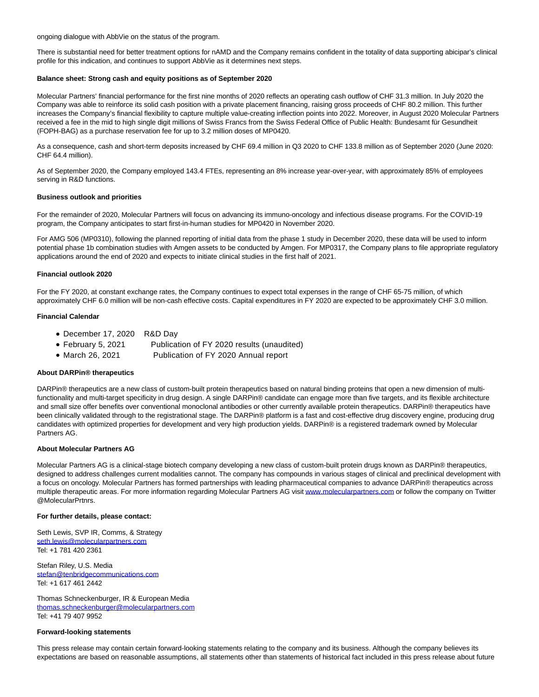ongoing dialogue with AbbVie on the status of the program.

There is substantial need for better treatment options for nAMD and the Company remains confident in the totality of data supporting abicipar's clinical profile for this indication, and continues to support AbbVie as it determines next steps.

## **Balance sheet: Strong cash and equity positions as of September 2020**

Molecular Partners' financial performance for the first nine months of 2020 reflects an operating cash outflow of CHF 31.3 million. In July 2020 the Company was able to reinforce its solid cash position with a private placement financing, raising gross proceeds of CHF 80.2 million. This further increases the Company's financial flexibility to capture multiple value-creating inflection points into 2022. Moreover, in August 2020 Molecular Partners received a fee in the mid to high single digit millions of Swiss Francs from the Swiss Federal Office of Public Health: Bundesamt für Gesundheit (FOPH-BAG) as a purchase reservation fee for up to 3.2 million doses of MP0420.

As a consequence, cash and short-term deposits increased by CHF 69.4 million in Q3 2020 to CHF 133.8 million as of September 2020 (June 2020: CHF 64.4 million).

As of September 2020, the Company employed 143.4 FTEs, representing an 8% increase year-over-year, with approximately 85% of employees serving in R&D functions.

## **Business outlook and priorities**

For the remainder of 2020, Molecular Partners will focus on advancing its immuno-oncology and infectious disease programs. For the COVID-19 program, the Company anticipates to start first-in-human studies for MP0420 in November 2020.

For AMG 506 (MP0310), following the planned reporting of initial data from the phase 1 study in December 2020, these data will be used to inform potential phase 1b combination studies with Amgen assets to be conducted by Amgen. For MP0317, the Company plans to file appropriate regulatory applications around the end of 2020 and expects to initiate clinical studies in the first half of 2021.

## **Financial outlook 2020**

For the FY 2020, at constant exchange rates, the Company continues to expect total expenses in the range of CHF 65-75 million, of which approximately CHF 6.0 million will be non-cash effective costs. Capital expenditures in FY 2020 are expected to be approximately CHF 3.0 million.

## **Financial Calendar**

- December 17, 2020 R&D Day
- February 5, 2021 Publication of FY 2020 results (unaudited)
- March 26, 2021 Publication of FY 2020 Annual report

## **About DARPin® therapeutics**

DARPin® therapeutics are a new class of custom-built protein therapeutics based on natural binding proteins that open a new dimension of multifunctionality and multi-target specificity in drug design. A single DARPin® candidate can engage more than five targets, and its flexible architecture and small size offer benefits over conventional monoclonal antibodies or other currently available protein therapeutics. DARPin® therapeutics have been clinically validated through to the registrational stage. The DARPin® platform is a fast and cost-effective drug discovery engine, producing drug candidates with optimized properties for development and very high production yields. DARPin® is a registered trademark owned by Molecular Partners AG.

# **About Molecular Partners AG**

Molecular Partners AG is a clinical-stage biotech company developing a new class of custom-built protein drugs known as DARPin® therapeutics, designed to address challenges current modalities cannot. The company has compounds in various stages of clinical and preclinical development with a focus on oncology. Molecular Partners has formed partnerships with leading pharmaceutical companies to advance DARPin® therapeutics across multiple therapeutic areas. For more information regarding Molecular Partners AG visi[t www.molecularpartners.com o](https://www.molecularpartners.com/)r follow the company on Twitter @MolecularPrtnrs.

## **For further details, please contact:**

Seth Lewis, SVP IR, Comms, & Strategy [seth.lewis@molecularpartners.com](mailto:seth.lewis@molecularpartners.com) Tel: +1 781 420 2361

Stefan Riley, U.S. Media [stefan@tenbridgecommunications.com](mailto:stefan@tenbridgecommunications.com) Tel: +1 617 461 2442

Thomas Schneckenburger, IR & European Media [thomas.schneckenburger@molecularpartners.com](mailto:thomas.schneckenburger@molecularpartners.com) Tel: +41 79 407 9952

## **Forward-looking statements**

This press release may contain certain forward-looking statements relating to the company and its business. Although the company believes its expectations are based on reasonable assumptions, all statements other than statements of historical fact included in this press release about future